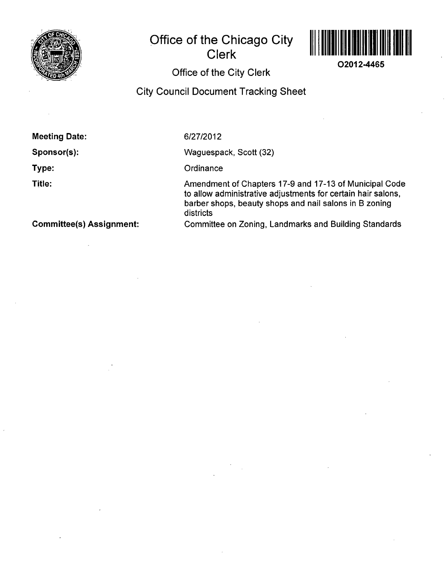

# **Office of the Chicago City Clerk**



**O2012-4465** 

## **Office of the City Clerk**

### **City Council Document Tracking Sheet**

**Meeting Date:** 

**Sponsor(s):** 

**Type:** 

**Title:** 

6/27/2012

Waguespack, Scott (32)

**Ordinance** 

Amendment of Chapters 17-9 and 17-13 of Municipal Code to allow administrative adjustments for certain hair salons, barber shops, beauty shops and nail salons in B zoning districts Committee on Zoning, Landmarks and Building Standards

**Committee(s) Assignment:**